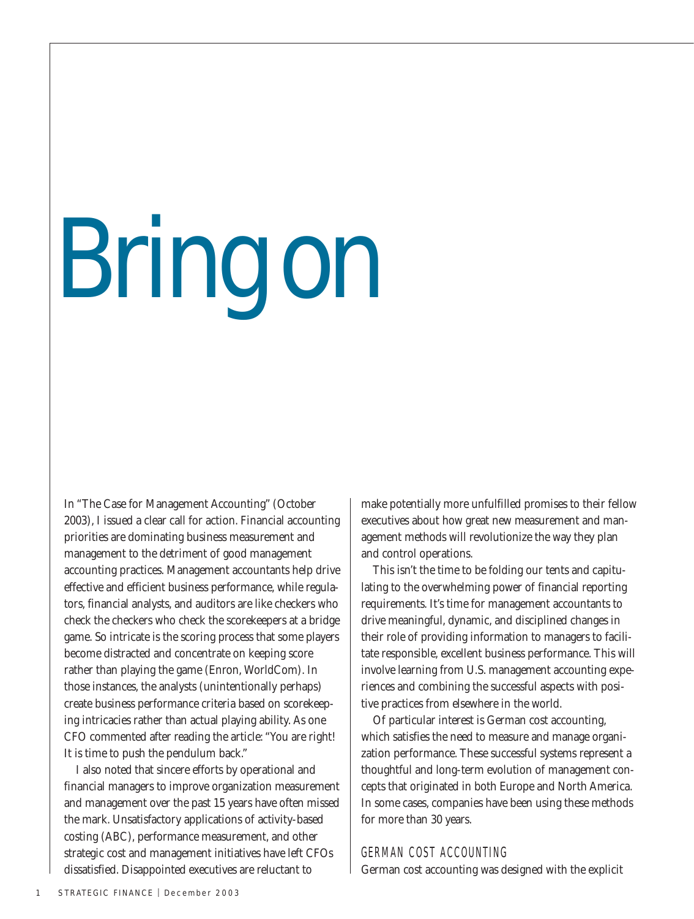# Bring on

In "The Case for Management Accounting" (October 2003), I issued a clear call for action. Financial accounting priorities are dominating business measurement and management to the detriment of good management accounting practices. Management accountants help drive effective and efficient business performance, while regulators, financial analysts, and auditors are like checkers who check the checkers who check the scorekeepers at a bridge game. So intricate is the scoring process that some players become distracted and concentrate on keeping score rather than playing the game (Enron, WorldCom). In those instances, the analysts (unintentionally perhaps) create business performance criteria based on scorekeeping intricacies rather than actual playing ability. As one CFO commented after reading the article: "You are right! It is time to push the pendulum back."

I also noted that sincere efforts by operational and financial managers to improve organization measurement and management over the past 15 years have often missed the mark. Unsatisfactory applications of activity-based costing (ABC), performance measurement, and other strategic cost and management initiatives have left CFOs dissatisfied. Disappointed executives are reluctant to

make potentially more unfulfilled promises to their fellow executives about how great new measurement and management methods will revolutionize the way they plan and control operations.

This isn't the time to be folding our tents and capitulating to the overwhelming power of financial reporting requirements. It's time for management accountants to drive meaningful, dynamic, and disciplined changes in their role of providing information to managers to facilitate responsible, excellent business performance. This will involve learning from U.S. management accounting experiences and combining the successful aspects with positive practices from elsewhere in the world.

Of particular interest is German cost accounting, which satisfies the need to measure and manage organization performance. These successful systems represent a thoughtful and long-term evolution of management concepts that originated in both Europe and North America. In some cases, companies have been using these methods for more than 30 years.

#### GERMAN COST ACCOUNTING

German cost accounting was designed with the explicit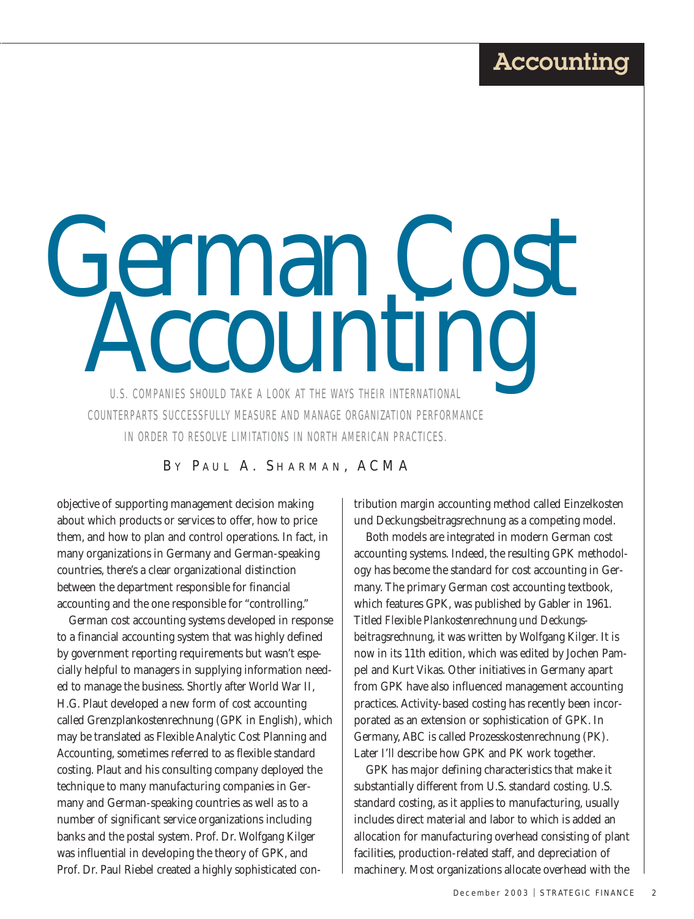#### Accounting

German Cost 2001 COUNTERPARTS SUCCESSFULLY MEASURE AND MANAGE ORGANIZATION PERFORMANCE IN ORDER TO RESOLVE LIMITATIONS IN NORTH AMERICAN PRACTICES.

BY PAUL A. SHARMAN, ACMA

objective of supporting management decision making about which products or services to offer, how to price them, and how to plan and control operations. In fact, in many organizations in Germany and German-speaking countries, there's a clear organizational distinction between the department responsible for financial accounting and the one responsible for "controlling."

German cost accounting systems developed in response to a financial accounting system that was highly defined by government reporting requirements but wasn't especially helpful to managers in supplying information needed to manage the business. Shortly after World War II, H.G. Plaut developed a new form of cost accounting called Grenzplankostenrechnung (GPK in English), which may be translated as Flexible Analytic Cost Planning and Accounting, sometimes referred to as flexible standard costing. Plaut and his consulting company deployed the technique to many manufacturing companies in Germany and German-speaking countries as well as to a number of significant service organizations including banks and the postal system. Prof. Dr. Wolfgang Kilger was influential in developing the theory of GPK, and Prof. Dr. Paul Riebel created a highly sophisticated contribution margin accounting method called Einzelkosten und Deckungsbeitragsrechnung as a competing model.

Both models are integrated in modern German cost accounting systems. Indeed, the resulting GPK methodology has become the standard for cost accounting in Germany. The primary German cost accounting textbook, which features GPK, was published by Gabler in 1961. Titled *Flexible Plankostenrechnung und Deckungsbeitragsrechnung*, it was written by Wolfgang Kilger. It is now in its 11th edition, which was edited by Jochen Pampel and Kurt Vikas. Other initiatives in Germany apart from GPK have also influenced management accounting practices. Activity-based costing has recently been incorporated as an extension or sophistication of GPK. In Germany, ABC is called Prozesskostenrechnung (PK). Later I'll describe how GPK and PK work together.

GPK has major defining characteristics that make it substantially different from U.S. standard costing. U.S. standard costing, as it applies to manufacturing, usually includes direct material and labor to which is added an allocation for manufacturing overhead consisting of plant facilities, production-related staff, and depreciation of machinery. Most organizations allocate overhead with the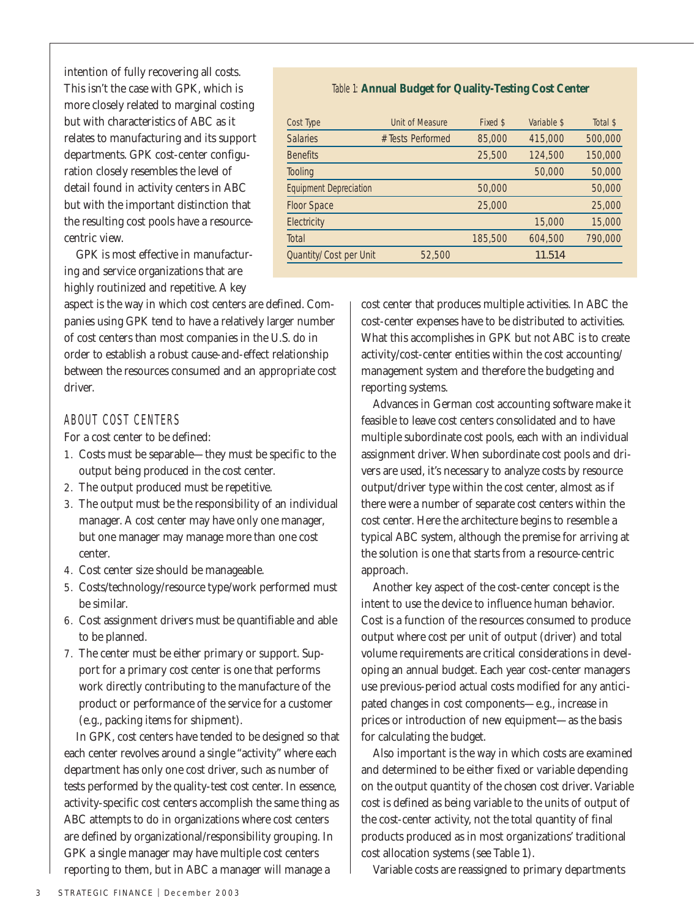intention of fully recovering all costs. This isn't the case with GPK, which is more closely related to marginal costing but with characteristics of ABC as it relates to manufacturing and its support departments. GPK cost-center configuration closely resembles the level of detail found in activity centers in ABC but with the important distinction that the resulting cost pools have a resourcecentric view.

GPK is most effective in manufacturing and service organizations that are highly routinized and repetitive. A key

aspect is the way in which cost centers are defined. Companies using GPK tend to have a relatively larger number of cost centers than most companies in the U.S. do in order to establish a robust cause-and-effect relationship between the resources consumed and an appropriate cost driver.

#### ABOUT COST CENTERS

For a cost center to be defined:

- 1. Costs must be separable—they must be specific to the output being produced in the cost center.
- 2. The output produced must be repetitive.
- 3. The output must be the responsibility of an individual manager. A cost center may have only one manager, but one manager may manage more than one cost center.
- 4. Cost center size should be manageable.
- 5. Costs/technology/resource type/work performed must be similar.
- 6. Cost assignment drivers must be quantifiable and able to be planned.
- 7. The center must be either primary or support. Support for a primary cost center is one that performs work directly contributing to the manufacture of the product or performance of the service for a customer (e.g., packing items for shipment).

In GPK, cost centers have tended to be designed so that each center revolves around a single "activity" where each department has only one cost driver, such as number of tests performed by the quality-test cost center. In essence, activity-specific cost centers accomplish the same thing as ABC attempts to do in organizations where cost centers are defined by organizational/responsibility grouping. In GPK a single manager may have multiple cost centers reporting to them, but in ABC a manager will manage a

#### Table 1: **Annual Budget for Quality-Testing Cost Center**

| Cost Type                     | <b>Unit of Measure</b> | Fixed \$ | Variable \$ | Total \$ |
|-------------------------------|------------------------|----------|-------------|----------|
| <b>Salaries</b>               | # Tests Performed      | 85,000   | 415,000     | 500,000  |
| <b>Benefits</b>               |                        | 25,500   | 124,500     | 150,000  |
| Tooling                       |                        |          | 50,000      | 50,000   |
| <b>Equipment Depreciation</b> |                        | 50,000   |             | 50,000   |
| <b>Floor Space</b>            |                        | 25,000   |             | 25,000   |
| Electricity                   |                        |          | 15,000      | 15,000   |
| Total                         |                        | 185,500  | 604,500     | 790,000  |
| Quantity/Cost per Unit        | 52,500                 |          | 11.514      |          |

cost center that produces multiple activities. In ABC the cost-center expenses have to be distributed to activities. What this accomplishes in GPK but not ABC is to create activity/cost-center entities within the cost accounting/ management system and therefore the budgeting and reporting systems.

Advances in German cost accounting software make it feasible to leave cost centers consolidated and to have multiple subordinate cost pools, each with an individual assignment driver. When subordinate cost pools and drivers are used, it's necessary to analyze costs by resource output/driver type within the cost center, almost as if there were a number of separate cost centers within the cost center. Here the architecture begins to resemble a typical ABC system, although the premise for arriving at the solution is one that starts from a resource-centric approach.

Another key aspect of the cost-center concept is the intent to use the device to influence human behavior. Cost is a function of the resources consumed to produce output where cost per unit of output (driver) and total volume requirements are critical considerations in developing an annual budget. Each year cost-center managers use previous-period actual costs modified for any anticipated changes in cost components—e.g., increase in prices or introduction of new equipment—as the basis for calculating the budget.

Also important is the way in which costs are examined and determined to be either fixed or variable depending on the output quantity of the chosen cost driver. Variable cost is defined as being variable to the units of output of the cost-center activity, not the total quantity of final products produced as in most organizations' traditional cost allocation systems (see Table 1).

Variable costs are reassigned to primary departments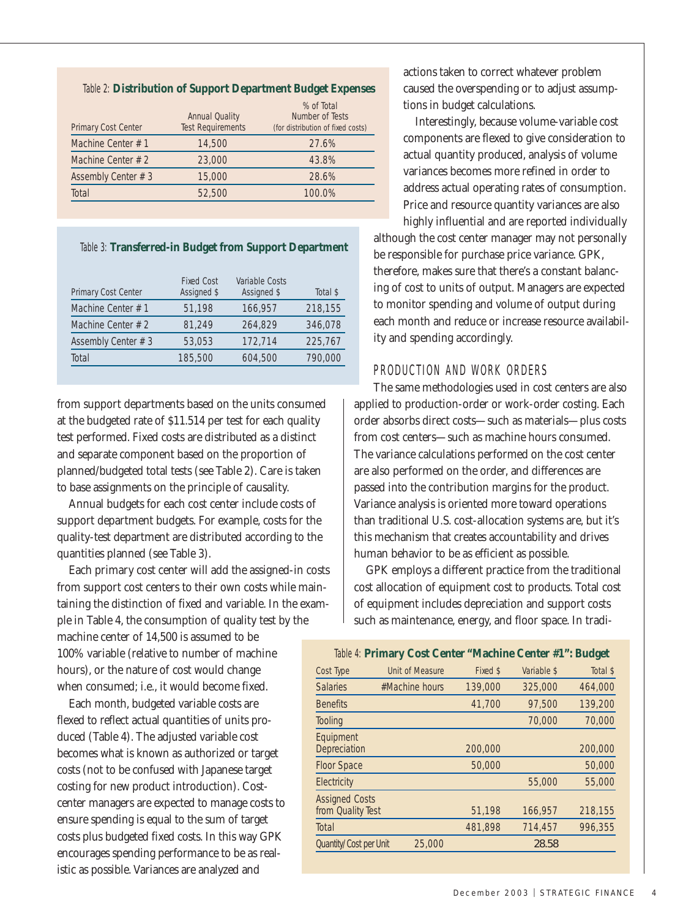#### Table 2: **Distribution of Support Department Budget Expenses**

| <b>Primary Cost Center</b> | <b>Annual Quality</b><br><b>Test Requirements</b> | % of Total<br>Number of Tests<br>(for distribution of fixed costs) |
|----------------------------|---------------------------------------------------|--------------------------------------------------------------------|
| Machine Center $# 1$       | 14,500                                            | 27.6%                                                              |
| Machine Center $# 2$       | 23,000                                            | 43.8%                                                              |
| Assembly Center # 3        | 15,000                                            | 28.6%                                                              |
| Total                      | 52,500                                            | 100.0%                                                             |

#### Table 3: **Transferred-in Budget from Support Department**

| <b>Fixed Cost</b><br>Assigned \$ | <b>Variable Costs</b><br>Assigned \$ | Total \$ |
|----------------------------------|--------------------------------------|----------|
| 51,198                           | 166,957                              | 218,155  |
| 81.249                           | 264,829                              | 346,078  |
| 53,053                           | 172,714                              | 225,767  |
| 185,500                          | 604,500                              | 790,000  |
|                                  |                                      |          |

from support departments based on the units consumed at the budgeted rate of \$11.514 per test for each quality test performed. Fixed costs are distributed as a distinct and separate component based on the proportion of planned/budgeted total tests (see Table 2). Care is taken to base assignments on the principle of causality.

Annual budgets for each cost center include costs of support department budgets. For example, costs for the quality-test department are distributed according to the quantities planned (see Table 3).

Each primary cost center will add the assigned-in costs from support cost centers to their own costs while maintaining the distinction of fixed and variable. In the example in Table 4, the consumption of quality test by the

machine center of 14,500 is assumed to be 100% variable (relative to number of machine hours), or the nature of cost would change when consumed; i.e., it would become fixed.

Each month, budgeted variable costs are flexed to reflect actual quantities of units produced (Table 4). The adjusted variable cost becomes what is known as authorized or target costs (not to be confused with Japanese target costing for new product introduction). Costcenter managers are expected to manage costs to ensure spending is equal to the sum of target costs plus budgeted fixed costs. In this way GPK encourages spending performance to be as realistic as possible. Variances are analyzed and

actions taken to correct whatever problem caused the overspending or to adjust assumptions in budget calculations.

Interestingly, because volume-variable cost components are flexed to give consideration to actual quantity produced, analysis of volume variances becomes more refined in order to address actual operating rates of consumption. Price and resource quantity variances are also

highly influential and are reported individually although the cost center manager may not personally be responsible for purchase price variance. GPK, therefore, makes sure that there's a constant balancing of cost to units of output. Managers are expected to monitor spending and volume of output during each month and reduce or increase resource availability and spending accordingly.

#### PRODUCTION AND WORK ORDERS

The same methodologies used in cost centers are also applied to production-order or work-order costing. Each order absorbs direct costs—such as materials—plus costs from cost centers—such as machine hours consumed. The variance calculations performed on the cost center are also performed on the order, and differences are passed into the contribution margins for the product. Variance analysis is oriented more toward operations than traditional U.S. cost-allocation systems are, but it's this mechanism that creates accountability and drives human behavior to be as efficient as possible.

GPK employs a different practice from the traditional cost allocation of equipment cost to products. Total cost of equipment includes depreciation and support costs such as maintenance, energy, and floor space. In tradi-

|                                            | Table 4: Primary Cost Center "Machine Center #1": Budget |          |             |          |
|--------------------------------------------|----------------------------------------------------------|----------|-------------|----------|
| Cost Type                                  | Unit of Measure                                          | Fixed \$ | Variable \$ | Total \$ |
| <b>Salaries</b>                            | #Machine hours                                           | 139,000  | 325,000     | 464,000  |
| <b>Benefits</b>                            |                                                          | 41,700   | 97,500      | 139,200  |
| Tooling                                    |                                                          |          | 70,000      | 70,000   |
| Equipment<br>Depreciation                  |                                                          | 200,000  |             | 200,000  |
| <b>Floor Space</b>                         |                                                          | 50,000   |             | 50,000   |
| Electricity                                |                                                          |          | 55,000      | 55,000   |
| <b>Assigned Costs</b><br>from Quality Test |                                                          | 51,198   | 166,957     | 218,155  |
| Total                                      |                                                          | 481.898  | 714,457     | 996,355  |
| Quantity/Cost per Unit                     | 25,000                                                   |          | 28.58       |          |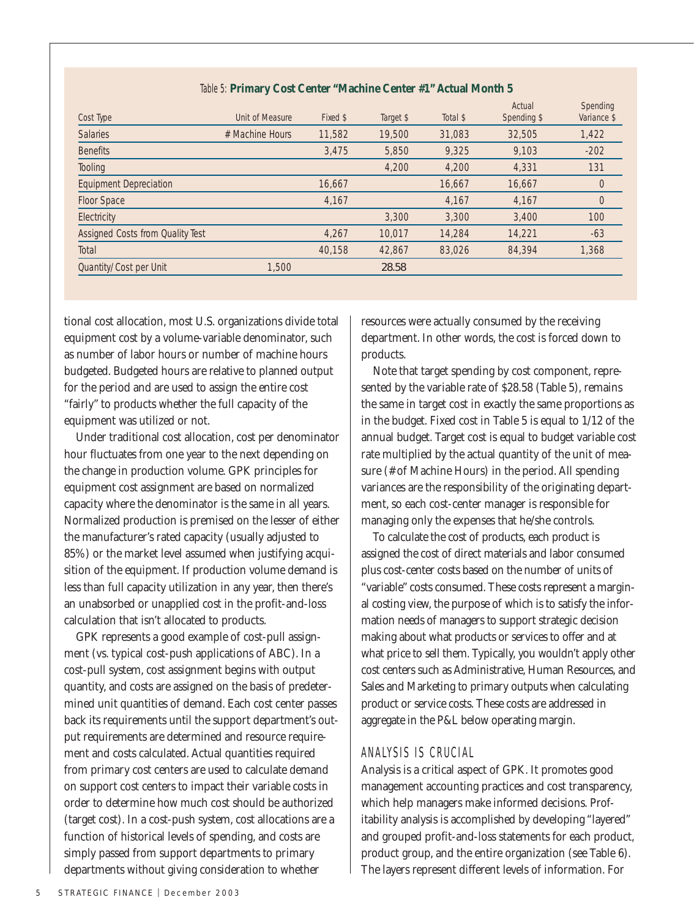| Cost Type                        | Unit of Measure | Fixed \$ | Target \$ | Total \$ | Actual<br>Spending \$ | Spending<br>Variance \$ |
|----------------------------------|-----------------|----------|-----------|----------|-----------------------|-------------------------|
| <b>Salaries</b>                  | # Machine Hours | 11,582   | 19,500    | 31,083   | 32,505                | 1,422                   |
| <b>Benefits</b>                  |                 | 3,475    | 5,850     | 9,325    | 9,103                 | $-202$                  |
| Tooling                          |                 |          | 4,200     | 4,200    | 4,331                 | 131                     |
| <b>Equipment Depreciation</b>    |                 | 16,667   |           | 16,667   | 16.667                | $\theta$                |
| Floor Space                      |                 | 4,167    |           | 4,167    | 4,167                 | $\overline{0}$          |
| Electricity                      |                 |          | 3,300     | 3,300    | 3,400                 | 100                     |
| Assigned Costs from Quality Test |                 | 4.267    | 10,017    | 14,284   | 14,221                | $-63$                   |
| Total                            |                 | 40,158   | 42.867    | 83,026   | 84,394                | 1,368                   |
| Quantity/Cost per Unit           | 1,500           |          | 28.58     |          |                       |                         |

#### Table 5: **Primary Cost Center "Machine Center #1" Actual Month 5**

tional cost allocation, most U.S. organizations divide total equipment cost by a volume-variable denominator, such as number of labor hours or number of machine hours budgeted. Budgeted hours are relative to planned output for the period and are used to assign the entire cost "fairly" to products whether the full capacity of the equipment was utilized or not.

Under traditional cost allocation, cost per denominator hour fluctuates from one year to the next depending on the change in production volume. GPK principles for equipment cost assignment are based on normalized capacity where the denominator is the same in all years. Normalized production is premised on the lesser of either the manufacturer's rated capacity (usually adjusted to 85%) or the market level assumed when justifying acquisition of the equipment. If production volume demand is less than full capacity utilization in any year, then there's an unabsorbed or unapplied cost in the profit-and-loss calculation that isn't allocated to products.

GPK represents a good example of cost-pull assignment (vs. typical cost-push applications of ABC). In a cost-pull system, cost assignment begins with output quantity, and costs are assigned on the basis of predetermined unit quantities of demand. Each cost center passes back its requirements until the support department's output requirements are determined and resource requirement and costs calculated. Actual quantities required from primary cost centers are used to calculate demand on support cost centers to impact their variable costs in order to determine how much cost should be authorized (target cost). In a cost-push system, cost allocations are a function of historical levels of spending, and costs are simply passed from support departments to primary departments without giving consideration to whether

resources were actually consumed by the receiving department. In other words, the cost is forced down to products.

Note that target spending by cost component, represented by the variable rate of \$28.58 (Table 5), remains the same in target cost in exactly the same proportions as in the budget. Fixed cost in Table 5 is equal to 1/12 of the annual budget. Target cost is equal to budget variable cost rate multiplied by the actual quantity of the unit of measure (# of Machine Hours) in the period. All spending variances are the responsibility of the originating department, so each cost-center manager is responsible for managing only the expenses that he/she controls.

To calculate the cost of products, each product is assigned the cost of direct materials and labor consumed plus cost-center costs based on the number of units of "variable" costs consumed. These costs represent a marginal costing view, the purpose of which is to satisfy the information needs of managers to support strategic decision making about what products or services to offer and at what price to sell them. Typically, you wouldn't apply other cost centers such as Administrative, Human Resources, and Sales and Marketing to primary outputs when calculating product or service costs. These costs are addressed in aggregate in the P&L below operating margin.

#### ANALYSIS IS CRUCIAL

Analysis is a critical aspect of GPK. It promotes good management accounting practices and cost transparency, which help managers make informed decisions. Profitability analysis is accomplished by developing "layered" and grouped profit-and-loss statements for each product, product group, and the entire organization (see Table 6). The layers represent different levels of information. For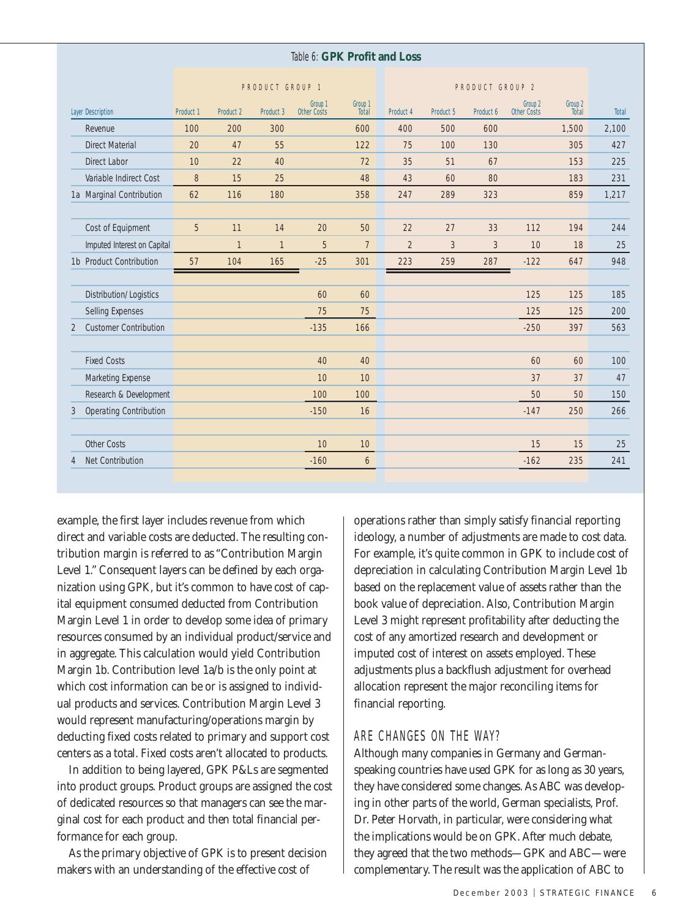#### Table 6: **GPK Profit and Loss**

|                                    |                  |                  | PRODUCT GROUP 1  |                                          |                  | PRODUCT GROUP 2  |                  |           |                               |                         |              |
|------------------------------------|------------------|------------------|------------------|------------------------------------------|------------------|------------------|------------------|-----------|-------------------------------|-------------------------|--------------|
| <b>Layer Description</b>           | <b>Product 1</b> | <b>Product 2</b> | <b>Product 3</b> | Group <sub>1</sub><br><b>Other Costs</b> | Group 1<br>Total | <b>Product 4</b> | <b>Product 5</b> | Product 6 | Group 2<br><b>Other Costs</b> | Group 2<br><b>Total</b> | <b>Total</b> |
| Revenue                            | 100              | 200              | 300              |                                          | 600              | 400              | 500              | 600       |                               | 1,500                   | 2,100        |
| <b>Direct Material</b>             | 20               | 47               | 55               |                                          | 122              | 75               | 100              | 130       |                               | 305                     | 427          |
| Direct Labor                       | 10               | 22               | 40               |                                          | 72               | 35               | 51               | 67        |                               | 153                     | 225          |
| Variable Indirect Cost             | 8                | 15               | 25               |                                          | 48               | 43               | 60               | 80        |                               | 183                     | 231          |
| 1a Marginal Contribution           | 62               | 116              | 180              |                                          | 358              | 247              | 289              | 323       |                               | 859                     | 1,217        |
|                                    |                  |                  |                  |                                          |                  |                  |                  |           |                               |                         |              |
| Cost of Equipment                  | 5                | 11               | 14               | 20                                       | 50               | 22               | 27               | 33        | 112                           | 194                     | 244          |
| Imputed Interest on Capital        |                  | $\mathbf{1}$     | $\mathbf{1}$     | 5                                        | 7                | $\overline{2}$   | 3                | 3         | 10                            | 18                      | 25           |
| 1b Product Contribution            | 57               | 104              | 165              | $-25$                                    | 301              | 223              | 259              | 287       | $-122$                        | 647                     | 948          |
|                                    |                  |                  |                  |                                          |                  |                  |                  |           |                               |                         |              |
| Distribution/Logistics             |                  |                  |                  | 60                                       | 60               |                  |                  |           | 125                           | 125                     | 185          |
| <b>Selling Expenses</b>            |                  |                  |                  | 75                                       | 75               |                  |                  |           | 125                           | 125                     | 200          |
| <b>Customer Contribution</b><br>2  |                  |                  |                  | $-135$                                   | 166              |                  |                  |           | $-250$                        | 397                     | 563          |
|                                    |                  |                  |                  |                                          |                  |                  |                  |           |                               |                         |              |
| <b>Fixed Costs</b>                 |                  |                  |                  | 40                                       | 40               |                  |                  |           | 60                            | 60                      | 100          |
| <b>Marketing Expense</b>           |                  |                  |                  | 10                                       | 10               |                  |                  |           | 37                            | 37                      | 47           |
| Research & Development             |                  |                  |                  | 100                                      | 100              |                  |                  |           | 50                            | 50                      | 150          |
| <b>Operating Contribution</b><br>3 |                  |                  |                  | $-150$                                   | 16               |                  |                  |           | $-147$                        | 250                     | 266          |
|                                    |                  |                  |                  |                                          |                  |                  |                  |           |                               |                         |              |
| <b>Other Costs</b>                 |                  |                  |                  | 10                                       | 10               |                  |                  |           | 15                            | 15                      | 25           |
| <b>Net Contribution</b><br>4       |                  |                  |                  | $-160$                                   | 6                |                  |                  |           | $-162$                        | 235                     | 241          |
|                                    |                  |                  |                  |                                          |                  |                  |                  |           |                               |                         |              |

example, the first layer includes revenue from which direct and variable costs are deducted. The resulting contribution margin is referred to as "Contribution Margin Level 1." Consequent layers can be defined by each organization using GPK, but it's common to have cost of capital equipment consumed deducted from Contribution Margin Level 1 in order to develop some idea of primary resources consumed by an individual product/service and in aggregate. This calculation would yield Contribution Margin 1b. Contribution level 1a/b is the only point at which cost information can be or is assigned to individual products and services. Contribution Margin Level 3 would represent manufacturing/operations margin by deducting fixed costs related to primary and support cost centers as a total. Fixed costs aren't allocated to products.

In addition to being layered, GPK P&Ls are segmented into product groups. Product groups are assigned the cost of dedicated resources so that managers can see the marginal cost for each product and then total financial performance for each group.

As the primary objective of GPK is to present decision makers with an understanding of the effective cost of

operations rather than simply satisfy financial reporting ideology, a number of adjustments are made to cost data. For example, it's quite common in GPK to include cost of depreciation in calculating Contribution Margin Level 1b based on the replacement value of assets rather than the book value of depreciation. Also, Contribution Margin Level 3 might represent profitability after deducting the cost of any amortized research and development or imputed cost of interest on assets employed. These adjustments plus a backflush adjustment for overhead allocation represent the major reconciling items for financial reporting.

#### ARE CHANGES ON THE WAY?

Although many companies in Germany and Germanspeaking countries have used GPK for as long as 30 years, they have considered some changes. As ABC was developing in other parts of the world, German specialists, Prof. Dr. Peter Horvath, in particular, were considering what the implications would be on GPK. After much debate, they agreed that the two methods—GPK and ABC—were complementary. The result was the application of ABC to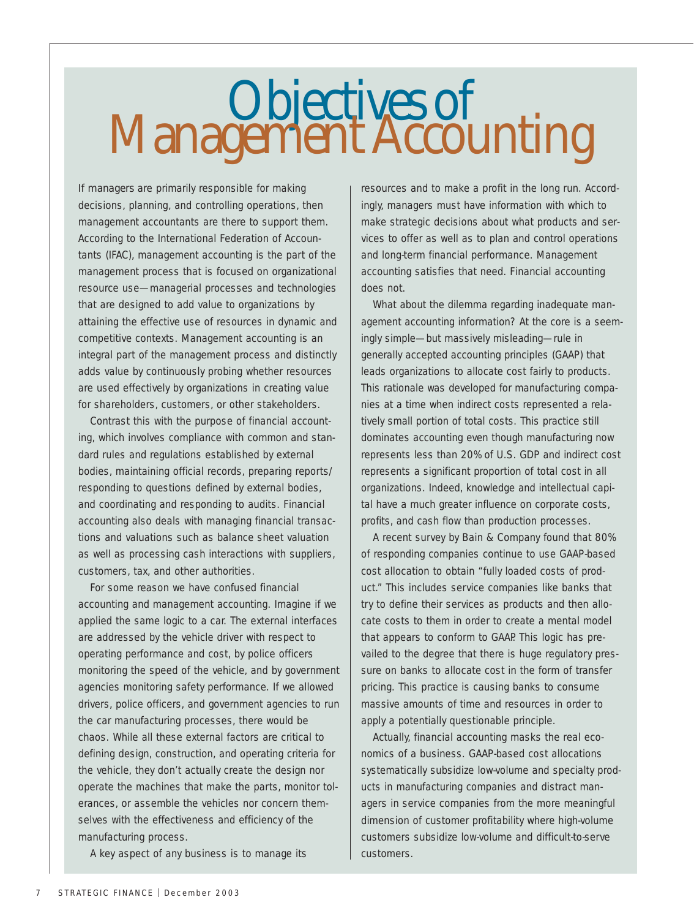## Objectives of Management Accounting

If managers are primarily responsible for making decisions, planning, and controlling operations, then management accountants are there to support them. According to the International Federation of Accountants (IFAC), management accounting is the part of the management process that is focused on organizational resource use—managerial processes and technologies that are designed to add value to organizations by attaining the effective use of resources in dynamic and competitive contexts. Management accounting is an integral part of the management process and distinctly adds value by continuously probing whether resources are used effectively by organizations in creating value for shareholders, customers, or other stakeholders.

Contrast this with the purpose of financial accounting, which involves compliance with common and standard rules and regulations established by external bodies, maintaining official records, preparing reports/ responding to questions defined by external bodies, and coordinating and responding to audits. Financial accounting also deals with managing financial transactions and valuations such as balance sheet valuation as well as processing cash interactions with suppliers, customers, tax, and other authorities.

For some reason we have confused financial accounting and management accounting. Imagine if we applied the same logic to a car. The external interfaces are addressed by the vehicle driver with respect to operating performance and cost, by police officers monitoring the speed of the vehicle, and by government agencies monitoring safety performance. If we allowed drivers, police officers, and government agencies to run the car manufacturing processes, there would be chaos. While all these external factors are critical to defining design, construction, and operating criteria for the vehicle, they don't actually create the design nor operate the machines that make the parts, monitor tolerances, or assemble the vehicles nor concern themselves with the effectiveness and efficiency of the manufacturing process.

A key aspect of any business is to manage its

resources and to make a profit in the long run. Accordingly, managers must have information with which to make strategic decisions about what products and services to offer as well as to plan and control operations and long-term financial performance. Management accounting satisfies that need. Financial accounting does not.

What about the dilemma regarding inadequate management accounting information? At the core is a seemingly simple—but massively misleading—rule in generally accepted accounting principles (GAAP) that leads organizations to allocate cost fairly to products. This rationale was developed for manufacturing companies at a time when indirect costs represented a relatively small portion of total costs. This practice still dominates accounting even though manufacturing now represents less than 20% of U.S. GDP and indirect cost represents a significant proportion of total cost in all organizations. Indeed, knowledge and intellectual capital have a much greater influence on corporate costs, profits, and cash flow than production processes.

A recent survey by Bain & Company found that 80% of responding companies continue to use GAAP-based cost allocation to obtain "fully loaded costs of product." This includes service companies like banks that try to define their services as products and then allocate costs to them in order to create a mental model that appears to conform to GAAP. This logic has prevailed to the degree that there is huge regulatory pressure on banks to allocate cost in the form of transfer pricing. This practice is causing banks to consume massive amounts of time and resources in order to apply a potentially questionable principle.

Actually, financial accounting masks the real economics of a business. GAAP-based cost allocations systematically subsidize low-volume and specialty products in manufacturing companies and distract managers in service companies from the more meaningful dimension of customer profitability where high-volume customers subsidize low-volume and difficult-to-serve customers.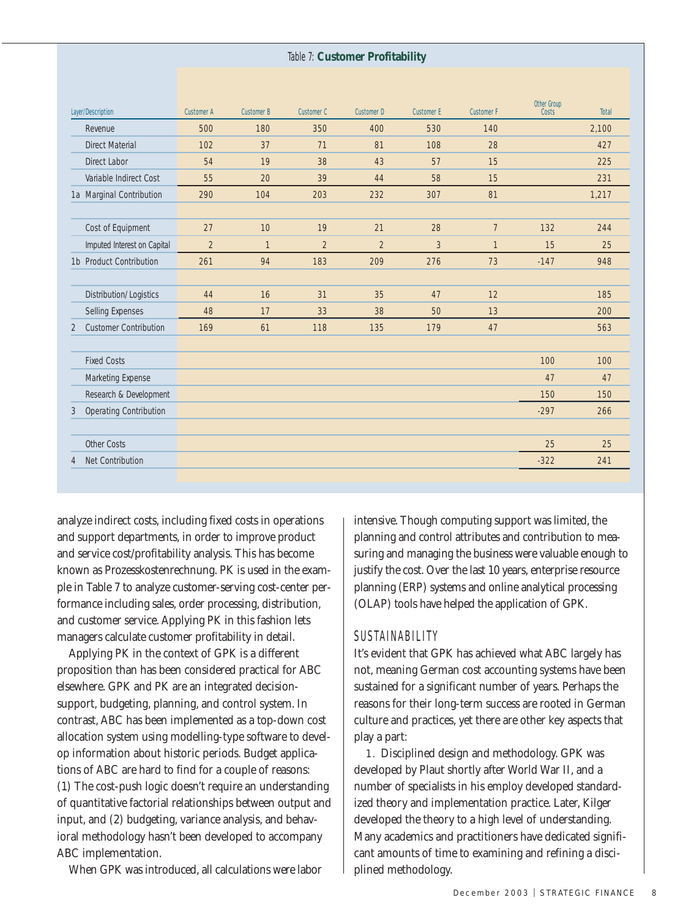#### Table 7: **Customer Profitability**

| <b>Layer/Description</b>           | <b>Customer A</b> | <b>Customer B</b> | <b>Customer C</b> | <b>Customer D</b> | <b>Customer E</b> | <b>Customer F</b> | <b>Other Group</b><br><b>Costs</b> | <b>Total</b> |
|------------------------------------|-------------------|-------------------|-------------------|-------------------|-------------------|-------------------|------------------------------------|--------------|
| Revenue                            | 500               | 180               | 350               | 400               | 530               | 140               |                                    | 2,100        |
| <b>Direct Material</b>             | 102               | 37                | 71                | 81                | 108               | 28                |                                    | 427          |
| <b>Direct Labor</b>                | 54                | 19                | 38                | 43                | 57                | 15                |                                    | 225          |
| Variable Indirect Cost             | 55                | 20                | 39                | 44                | 58                | 15                |                                    | 231          |
| 1a Marginal Contribution           | 290               | 104               | 203               | 232               | 307               | 81                |                                    | 1,217        |
|                                    |                   |                   |                   |                   |                   |                   |                                    |              |
| Cost of Equipment                  | 27                | 10                | 19                | 21                | 28                | $\overline{7}$    | 132                                | 244          |
| Imputed Interest on Capital        | $\overline{2}$    | $\mathbf{1}$      | $\overline{2}$    | $\overline{2}$    | 3                 | $\mathbf{1}$      | 15                                 | 25           |
| 1b Product Contribution            | 261               | 94                | 183               | 209               | 276               | 73                | $-147$                             | 948          |
|                                    |                   |                   |                   |                   |                   |                   |                                    |              |
| Distribution/Logistics             | 44                | 16                | 31                | 35                | 47                | 12                |                                    | 185          |
| Selling Expenses                   | 48                | 17                | 33                | 38                | 50                | 13                |                                    | 200          |
| <b>Customer Contribution</b><br>2  | 169               | 61                | 118               | 135               | 179               | 47                |                                    | 563          |
|                                    |                   |                   |                   |                   |                   |                   |                                    |              |
| <b>Fixed Costs</b>                 |                   |                   |                   |                   |                   |                   | 100                                | 100          |
| Marketing Expense                  |                   |                   |                   |                   |                   |                   | 47                                 | 47           |
| Research & Development             |                   |                   |                   |                   |                   |                   | 150                                | 150          |
| <b>Operating Contribution</b><br>3 |                   |                   |                   |                   |                   |                   | $-297$                             | 266          |
|                                    |                   |                   |                   |                   |                   |                   |                                    |              |
| Other Costs                        |                   |                   |                   |                   |                   |                   | 25                                 | 25           |
| <b>Net Contribution</b><br>4       |                   |                   |                   |                   |                   |                   | $-322$                             | 241          |
|                                    |                   |                   |                   |                   |                   |                   |                                    |              |

analyze indirect costs, including fixed costs in operations and support departments, in order to improve product and service cost/profitability analysis. This has become known as Prozesskostenrechnung. PK is used in the example in Table 7 to analyze customer-serving cost-center performance including sales, order processing, distribution, and customer service. Applying PK in this fashion lets managers calculate customer profitability in detail.

Applying PK in the context of GPK is a different proposition than has been considered practical for ABC elsewhere. GPK and PK are an integrated decisionsupport, budgeting, planning, and control system. In contrast, ABC has been implemented as a top-down cost allocation system using modelling-type software to develop information about historic periods. Budget applications of ABC are hard to find for a couple of reasons: (1) The cost-push logic doesn't require an understanding of quantitative factorial relationships between output and input, and (2) budgeting, variance analysis, and behavioral methodology hasn't been developed to accompany ABC implementation.

When GPK was introduced, all calculations were labor

intensive. Though computing support was limited, the planning and control attributes and contribution to measuring and managing the business were valuable enough to justify the cost. Over the last 10 years, enterprise resource planning (ERP) systems and online analytical processing (OLAP) tools have helped the application of GPK.

#### **SUSTAINABILITY**

It's evident that GPK has achieved what ABC largely has not, meaning German cost accounting systems have been sustained for a significant number of years. Perhaps the reasons for their long-term success are rooted in German culture and practices, yet there are other key aspects that play a part:

1. Disciplined design and methodology. GPK was developed by Plaut shortly after World War II, and a number of specialists in his employ developed standardized theory and implementation practice. Later, Kilger developed the theory to a high level of understanding. Many academics and practitioners have dedicated significant amounts of time to examining and refining a disciplined methodology.